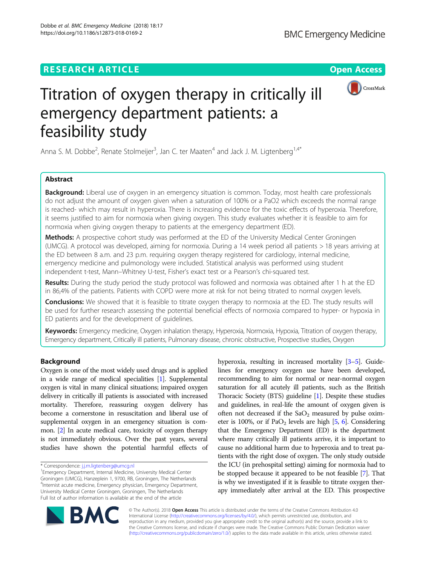# **RESEARCH ARTICLE Example 2018 12:30 THE Open Access**



# Titration of oxygen therapy in critically ill emergency department patients: a feasibility study

Anna S. M. Dobbe<sup>2</sup>, Renate Stolmeijer<sup>3</sup>, Jan C. ter Maaten<sup>4</sup> and Jack J. M. Ligtenberg<sup>1,4\*</sup>

# Abstract

**Background:** Liberal use of oxygen in an emergency situation is common. Today, most health care professionals do not adjust the amount of oxygen given when a saturation of 100% or a PaO2 which exceeds the normal range is reached- which may result in hyperoxia. There is increasing evidence for the toxic effects of hyperoxia. Therefore, it seems justified to aim for normoxia when giving oxygen. This study evaluates whether it is feasible to aim for normoxia when giving oxygen therapy to patients at the emergency department (ED).

Methods: A prospective cohort study was performed at the ED of the University Medical Center Groningen (UMCG). A protocol was developed, aiming for normoxia. During a 14 week period all patients > 18 years arriving at the ED between 8 a.m. and 23 p.m. requiring oxygen therapy registered for cardiology, internal medicine, emergency medicine and pulmonology were included. Statistical analysis was performed using student independent t-test, Mann–Whitney U-test, Fisher's exact test or a Pearson's chi-squared test.

Results: During the study period the study protocol was followed and normoxia was obtained after 1 h at the ED in 86,4% of the patients. Patients with COPD were more at risk for not being titrated to normal oxygen levels.

**Conclusions:** We showed that it is feasible to titrate oxygen therapy to normoxia at the ED. The study results will be used for further research assessing the potential beneficial effects of normoxia compared to hyper- or hypoxia in ED patients and for the development of guidelines.

Keywords: Emergency medicine, Oxygen inhalation therapy, Hyperoxia, Normoxia, Hypoxia, Titration of oxygen therapy, Emergency department, Critically ill patients, Pulmonary disease, chronic obstructive, Prospective studies, Oxygen

## Background

Oxygen is one of the most widely used drugs and is applied in a wide range of medical specialities [[1](#page-5-0)]. Supplemental oxygen is vital in many clinical situations; impaired oxygen delivery in critically ill patients is associated with increased mortality. Therefore, reassuring oxygen delivery has become a cornerstone in resuscitation and liberal use of supplemental oxygen in an emergency situation is common. [\[2](#page-5-0)] In acute medical care, toxicity of oxygen therapy is not immediately obvious. Over the past years, several studies have shown the potential harmful effects of

Emergency Department, Internal Medicine, University Medical Center Groningen (UMCG), Hanzeplein 1, 9700, RB, Groningen, The Netherlands 4 Internist acute medicine, Emergency physician, Emergency Department, University Medical Center Groningen, Groningen, The Netherlands Full list of author information is available at the end of the article

hyperoxia, resulting in increased mortality [\[3](#page-5-0)–[5](#page-5-0)]. Guidelines for emergency oxygen use have been developed, recommending to aim for normal or near-normal oxygen saturation for all acutely ill patients, such as the British Thoracic Society (BTS) guideline [\[1\]](#page-5-0). Despite these studies and guidelines, in real-life the amount of oxygen given is often not decreased if the  $SaO<sub>2</sub>$  measured by pulse oximeter is 100%, or if  $PaO<sub>2</sub>$  levels are high [[5](#page-5-0), [6](#page-5-0)]. Considering that the Emergency Department (ED) is the department where many critically ill patients arrive, it is important to cause no additional harm due to hyperoxia and to treat patients with the right dose of oxygen. The only study outside the ICU (in prehospital setting) aiming for normoxia had to be stopped because it appeared to be not feasible [\[7\]](#page-5-0). That is why we investigated if it is feasible to titrate oxygen therapy immediately after arrival at the ED. This prospective



© The Author(s). 2018 Open Access This article is distributed under the terms of the Creative Commons Attribution 4.0 International License [\(http://creativecommons.org/licenses/by/4.0/](http://creativecommons.org/licenses/by/4.0/)), which permits unrestricted use, distribution, and reproduction in any medium, provided you give appropriate credit to the original author(s) and the source, provide a link to the Creative Commons license, and indicate if changes were made. The Creative Commons Public Domain Dedication waiver [\(http://creativecommons.org/publicdomain/zero/1.0/](http://creativecommons.org/publicdomain/zero/1.0/)) applies to the data made available in this article, unless otherwise stated.

<sup>\*</sup> Correspondence: [j.j.m.ligtenberg@umcg.nl](mailto:j.j.m.ligtenberg@umcg.nl) <sup>1</sup>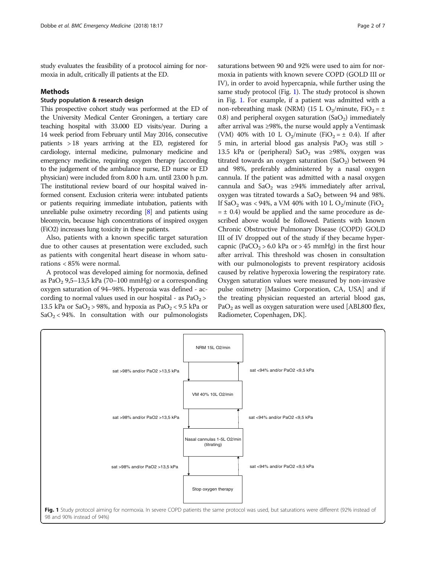study evaluates the feasibility of a protocol aiming for normoxia in adult, critically ill patients at the ED.

#### Methods

### Study population & research design

This prospective cohort study was performed at the ED of the University Medical Center Groningen, a tertiary care teaching hospital with 33.000 ED visits/year. During a 14 week period from February until May 2016, consecutive patients > 18 years arriving at the ED, registered for cardiology, internal medicine, pulmonary medicine and emergency medicine, requiring oxygen therapy (according to the judgement of the ambulance nurse, ED nurse or ED physician) were included from 8.00 h a.m. until 23.00 h p.m. The institutional review board of our hospital waived informed consent. Exclusion criteria were: intubated patients or patients requiring immediate intubation, patients with unreliable pulse oximetry recording [\[8\]](#page-6-0) and patients using bleomycin, because high concentrations of inspired oxygen (FiO2) increases lung toxicity in these patients.

Also, patients with a known specific target saturation due to other causes at presentation were excluded, such as patients with congenital heart disease in whom saturations < 85% were normal.

A protocol was developed aiming for normoxia, defined as PaO<sub>2</sub> 9,5–13,5 kPa (70–100 mmHg) or a corresponding oxygen saturation of 94–98%. Hyperoxia was defined - according to normal values used in our hospital - as  $PaO<sub>2</sub>$ 13.5 kPa or  $SaO_2 > 98%$ , and hypoxia as  $PaO_2 < 9.5$  kPa or  $SaO<sub>2</sub> < 94%$ . In consultation with our pulmonologists

saturations between 90 and 92% were used to aim for normoxia in patients with known severe COPD (GOLD III or IV), in order to avoid hypercapnia, while further using the same study protocol (Fig. 1). The study protocol is shown in Fig. 1. For example, if a patient was admitted with a non-rebreathing mask (NRM) (15 L O<sub>2</sub>/minute, FiO<sub>2</sub> =  $\pm$ 0.8) and peripheral oxygen saturation  $(SaO<sub>2</sub>)$  immediately after arrival was ≥98%, the nurse would apply a Ventimask (VM) 40% with 10 L O<sub>2</sub>/minute (FiO<sub>2</sub> =  $\pm$  0.4). If after 5 min, in arterial blood gas analysis  $PaO<sub>2</sub>$  was still > 13.5 kPa or (peripheral) SaO<sub>2</sub> was ≥98%, oxygen was titrated towards an oxygen saturation  $(SaO<sub>2</sub>)$  between 94 and 98%, preferably administered by a nasal oxygen cannula. If the patient was admitted with a nasal oxygen cannula and SaO<sub>2</sub> was ≥94% immediately after arrival, oxygen was titrated towards a  $SaO<sub>2</sub>$  between 94 and 98%. If SaO<sub>2</sub> was < 94%, a VM 40% with 10 L O<sub>2</sub>/minute (FiO<sub>2</sub>)  $= \pm 0.4$ ) would be applied and the same procedure as described above would be followed. Patients with known Chronic Obstructive Pulmonary Disease (COPD) GOLD III of IV dropped out of the study if they became hypercapnic (PaCO<sub>2</sub> > 6.0 kPa or > 45 mmHg) in the first hour after arrival. This threshold was chosen in consultation with our pulmonologists to prevent respiratory acidosis caused by relative hyperoxia lowering the respiratory rate. Oxygen saturation values were measured by non-invasive pulse oximetry [Masimo Corporation, CA, USA] and if the treating physician requested an arterial blood gas,  $PaO<sub>2</sub>$  as well as oxygen saturation were used [ABL800 flex, Radiometer, Copenhagen, DK].

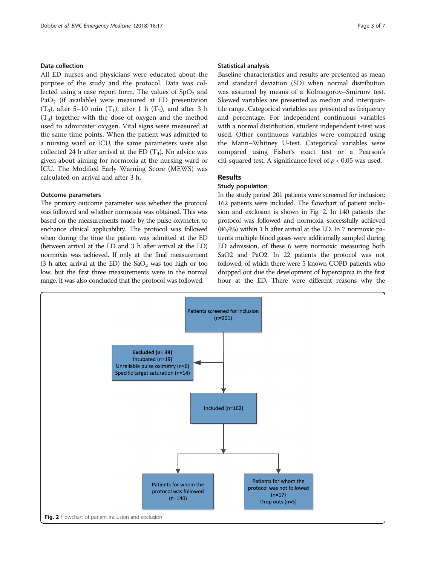#### Data collection

All ED nurses and physicians were educated about the purpose of the study and the protocol. Data was collected using a case report form. The values of  $SpO<sub>2</sub>$  and PaO<sub>2</sub> (if available) were measured at ED presentation  $(T_0)$ , after 5–10 min  $(T_1)$ , after 1 h  $(T_2)$ , and after 3 h  $(T_3)$  together with the dose of oxygen and the method used to administer oxygen. Vital signs were measured at the same time points. When the patient was admitted to a nursing ward or ICU, the same parameters were also collected 24 h after arrival at the ED  $(T_4)$ . No advice was given about aiming for normoxia at the nursing ward or ICU. The Modified Early Warning Score (MEWS) was calculated on arrival and after 3 h.

#### Outcome parameters

The primary outcome parameter was whether the protocol was followed and whether normoxia was obtained. This was based on the measurements made by the pulse oxymeter, to enchance clinical applicability. The protocol was followed when during the time the patient was admitted at the ED (between arrival at the ED and 3 h after arrival at the ED) normoxia was achieved. If only at the final measurement (3 h after arrival at the ED) the  $SaO<sub>2</sub>$  was too high or too low, but the first three measurements were in the normal range, it was also concluded that the protocol was followed.

#### Statistical analysis

Baseline characteristics and results are presented as mean and standard deviation (SD) when normal distribution was assumed by means of a Kolmogorov–Smirnov test. Skewed variables are presented as median and interquartile range. Categorical variables are presented as frequency and percentage. For independent continuous variables with a normal distribution, student independent t-test was used. Other continuous variables were compared using the Mann–Whitney U-test. Categorical variables were compared using Fisher's exact test or a Pearson's chi-squared test. A significance level of  $p < 0.05$  was used.

#### Results

#### Study population

In the study period 201 patients were screened for inclusion; 162 patients were included. The flowchart of patient inclusion and exclusion is shown in Fig. 2. In 140 patients the protocol was followed and normoxia successfully achieved (86,4%) within 1 h after arrival at the ED. In 7 normoxic patients multiple blood gases were additionally sampled during ED admission, of these 6 were normoxic measuring both SaO2 and PaO2. In 22 patients the protocol was not followed, of which there were 5 known COPD patients who dropped out due the development of hypercapnia in the first hour at the ED. There were different reasons why the

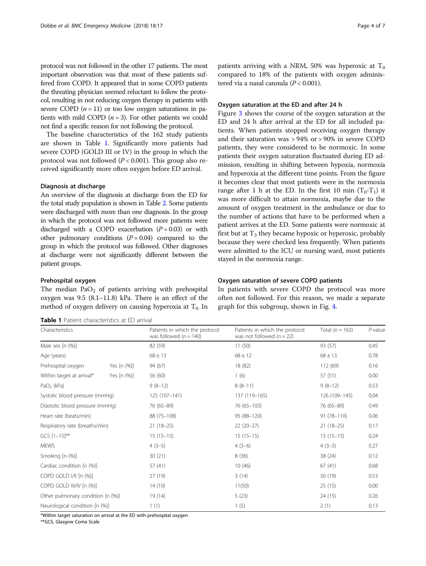protocol was not followed in the other 17 patients. The most important observation was that most of these patients suffered from COPD. It appeared that in some COPD patients the threating physician seemed reluctant to follow the protocol, resulting in not reducing oxygen therapy in patients with severe COPD  $(n = 11)$  or too low oxygen saturations in patients with mild COPD  $(n = 3)$ . For other patients we could not find a specific reason for not following the protocol.

The baseline characteristics of the 162 study patients are shown in Table 1. Significantly more patients had severe COPD (GOLD III or IV) in the group in which the protocol was not followed ( $P < 0.001$ ). This group also received significantly more often oxygen before ED arrival.

#### Diagnosis at discharge

An overview of the diagnosis at discharge from the ED for the total study population is shown in Table [2.](#page-4-0) Some patients were discharged with more than one diagnosis. In the group in which the protocol was not followed more patients were discharged with a COPD exacerbation  $(P = 0.03)$  or with other pulmonary conditions  $(P = 0.04)$  compared to the group in which the protocol was followed. Other diagnoses at discharge were not significantly different between the patient groups.

#### Prehospital oxygen

The median  $PaO<sub>2</sub>$  of patients arriving with prehospital oxygen was 9.5 (8.1–11.8) kPa. There is an effect of the method of oxygen delivery on causing hyperoxia at  $T_0$ . In

Table 1 Patient characteristics at ED arrival

patients arriving with a NRM, 50% was hyperoxic at  $T_0$ compared to 18% of the patients with oxygen administered via a nasal cannula  $(P < 0.001)$ .

#### Oxygen saturation at the ED and after 24 h

Figure [3](#page-4-0) shows the course of the oxygen saturation at the ED and 24 h after arrival at the ED for all included patients. When patients stopped receiving oxygen therapy and their saturation was > 94% or > 90% in severe COPD patients, they were considered to be normoxic. In some patients their oxygen saturation fluctuated during ED admission, resulting in shifting between hypoxia, normoxia and hyperoxia at the different time points. From the figure it becomes clear that most patients were in the normoxia range after 1 h at the ED. In the first 10 min  $(T_0-T_1)$  it was more difficult to attain normoxia, maybe due to the amount of oxygen treatment in the ambulance or due to the number of actions that have to be performed when a patient arrives at the ED. Some patients were normoxic at first but at  $T_3$  they became hypoxic or hyperoxic, probably because they were checked less frequently. When patients were admitted to the ICU or nursing ward, most patients stayed in the normoxia range.

#### Oxygen saturation of severe COPD patients

In patients with severe COPD the protocol was more often not followed. For this reason, we made a separate graph for this subgroup, shown in Fig. [4](#page-5-0).

| Characteristics<br>Male sex [n (%)]<br>Age (years) |             | Patients in which the protocol<br>was followed ( $n = 140$ )<br>82 (59) | Patients in which the protocol<br>was not followed $(n = 22)$<br>11(50) | Total ( $n = 162$ )<br>93 (57) | $P$ -value<br>0.45 |
|----------------------------------------------------|-------------|-------------------------------------------------------------------------|-------------------------------------------------------------------------|--------------------------------|--------------------|
|                                                    |             |                                                                         |                                                                         |                                |                    |
|                                                    |             | Prehospital oxygen                                                      | Yes [n (%)]                                                             | 94 (67)                        | 18 (82)            |
| Within target at arrival*                          | Yes [n (%)] | 56 (60)                                                                 | 1(6)                                                                    | 57 (51)                        | 0.00               |
| $PaO2$ (kPa)                                       |             | $9(8-12)$                                                               | $8(8-11)$                                                               | $9(8-12)$                      | 0.53               |
| Systolic blood pressure (mmHq)                     |             | 125 (107-141)                                                           | 137 (119-165)                                                           | 126 (109-145)                  | 0.04               |
| Diastolic blood pressure (mmHg)                    |             | 76 (65-89)                                                              | 76 (65-103)                                                             | 76 (65-89)                     | 0.49               |
| Heart rate (beats/min)                             |             | 88 (75-108)                                                             | 95 (88-120)                                                             | 91 (78-110)                    | 0.06               |
| Respiratory rate (breaths/min)                     |             | $21(18-25)$                                                             | $22(20-27)$                                                             | $21(18-25)$                    | 0.17               |
| $GCS$ $[1-15]$ **                                  |             | $15(15-15)$                                                             | $15(15-15)$                                                             | $15(15-15)$                    | 0.24               |
| <b>MEWS</b>                                        |             | $4(3-5)$                                                                | $4(3-6)$                                                                | $4(3-5)$                       | 0.27               |
| Smoking [n (%)]                                    |             | 30(21)                                                                  | 8(36)                                                                   | 38 (24)                        | 0.12               |
| Cardiac condition [n (%)]                          |             | 57(41)                                                                  | 10(46)                                                                  | 67(41)                         | 0.68               |
| COPD GOLD I/II [n (%)]                             |             | 27 (19)                                                                 | 3(14)                                                                   | 30 (19)                        | 0.53               |
| COPD GOLD III/IV [n (%)]                           |             | 14(10)                                                                  | 11(50)                                                                  | 25(15)                         | 0.00               |
| Other pulmonary condition [n (%)]                  |             | 19 (14)                                                                 | 5(23)                                                                   | 24 (15)                        | 0.26               |
| Neurological condition [n (%)]                     |             | 1(1)                                                                    | 1(5)                                                                    | 2(1)                           | 0.13               |

\*Within target saturation on arrival at the ED with prehospital oxygen

\*\*GCS, Glasgow Coma Scale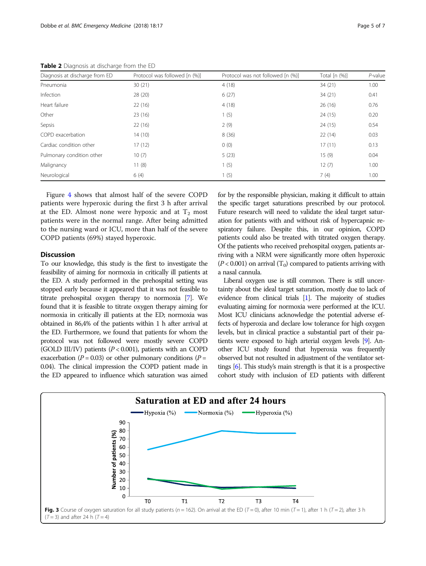| Diagnosis at discharge from ED | Protocol was followed [n (%)] | Protocol was not followed [n (%)] | Total $[n (%)]$ | $P$ -value |
|--------------------------------|-------------------------------|-----------------------------------|-----------------|------------|
| Pneumonia                      | 30(21)                        | 4(18)                             | 34 (21)         | 1.00       |
| Infection                      | 28 (20)                       | 6(27)                             | 34 (21)         | 0.41       |
| Heart failure                  | 22(16)                        | 4(18)                             | 26(16)          | 0.76       |
| Other                          | 23(16)                        | 1(5)                              | 24(15)          | 0.20       |
| Sepsis                         | 22(16)                        | 2(9)                              | 24 (15)         | 0.54       |
| COPD exacerbation              | 14(10)                        | 8(36)                             | 22(14)          | 0.03       |
| Cardiac condition other        | 17(12)                        | 0(0)                              | 17(11)          | 0.13       |
| Pulmonary condition other      | 10(7)                         | 5(23)                             | 15(9)           | 0.04       |
| Malignancy                     | 11(8)                         | 1(5)                              | 12(7)           | 1.00       |
| Neurological                   | 6(4)                          | 1(5)                              | 7(4)            | 1.00       |

<span id="page-4-0"></span>Table 2 Diagnosis at discharge from the ED

Figure [4](#page-5-0) shows that almost half of the severe COPD patients were hyperoxic during the first 3 h after arrival at the ED. Almost none were hypoxic and at  $T_2$  most patients were in the normal range. After being admitted to the nursing ward or ICU, more than half of the severe COPD patients (69%) stayed hyperoxic.

#### **Discussion**

To our knowledge, this study is the first to investigate the feasibility of aiming for normoxia in critically ill patients at the ED. A study performed in the prehospital setting was stopped early because it appeared that it was not feasible to titrate prehospital oxygen therapy to normoxia [\[7\]](#page-5-0). We found that it is feasible to titrate oxygen therapy aiming for normoxia in critically ill patients at the ED; normoxia was obtained in 86,4% of the patients within 1 h after arrival at the ED. Furthermore, we found that patients for whom the protocol was not followed were mostly severe COPD (GOLD III/IV) patients  $(P < 0.001)$ , patients with an COPD exacerbation ( $P = 0.03$ ) or other pulmonary conditions ( $P =$ 0.04). The clinical impression the COPD patient made in the ED appeared to influence which saturation was aimed for by the responsible physician, making it difficult to attain the specific target saturations prescribed by our protocol. Future research will need to validate the ideal target saturation for patients with and without risk of hypercapnic respiratory failure. Despite this, in our opinion, COPD patients could also be treated with titrated oxygen therapy. Of the patients who received prehospital oxygen, patients arriving with a NRM were significantly more often hyperoxic  $(P<0.001)$  on arrival  $(T<sub>0</sub>)$  compared to patients arriving with a nasal cannula.

Liberal oxygen use is still common. There is still uncertainty about the ideal target saturation, mostly due to lack of evidence from clinical trials [\[1\]](#page-5-0). The majority of studies evaluating aiming for normoxia were performed at the ICU. Most ICU clinicians acknowledge the potential adverse effects of hyperoxia and declare low tolerance for high oxygen levels, but in clinical practice a substantial part of their patients were exposed to high arterial oxygen levels [[9](#page-6-0)]. Another ICU study found that hyperoxia was frequently observed but not resulted in adjustment of the ventilator settings [[6](#page-5-0)]. This study's main strength is that it is a prospective cohort study with inclusion of ED patients with different

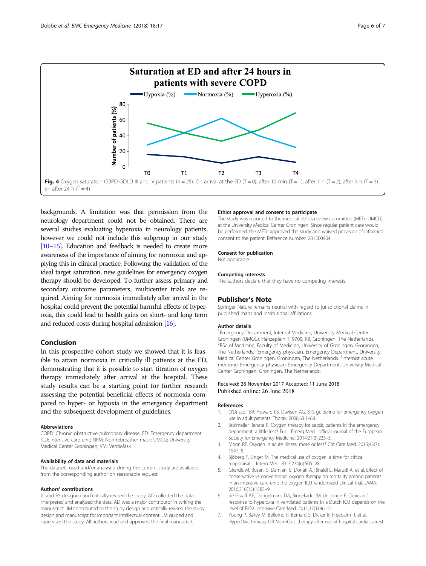<span id="page-5-0"></span>

backgrounds. A limitation was that permission from the neurology department could not be obtained. There are several studies evaluating hyperoxia in neurology patients, however we could not include this subgroup in our study [[10](#page-6-0)–[15\]](#page-6-0). Education and feedback is needed to create more awareness of the importance of aiming for normoxia and applying this in clinical practice. Following the validation of the ideal target saturation, new guidelines for emergency oxygen therapy should be developed. To further assess primary and secondary outcome parameters, multicenter trials are required. Aiming for normoxia immediately after arrival in the hospital could prevent the potential harmful effects of hyperoxia, this could lead to health gains on short- and long term and reduced costs during hospital admission [\[16\]](#page-6-0).

#### Conclusion

In this prospective cohort study we showed that it is feasible to attain normoxia in critically ill patients at the ED, demonstrating that it is possible to start titration of oxygen therapy immediately after arrival at the hospital. These study results can be a starting point for further research assessing the potential beneficial effects of normoxia compared to hyper- or hypoxia in the emergency department and the subsequent development of guidelines.

#### Abbreviations

COPD: Chronic obstructive pulmonary disease; ED: Emergency department; ICU: Intensive care unit; NRM: Non-rebreather mask; UMCG: University Medical Center Groningen; VM: VentiMask

#### Availability of data and materials

The datasets used and/or analysed during the current study are available from the corresponding author on reasonable request.

#### Authors' contributions

JL and RS designed and critically revised the study. AD collected the data, interpreted and analyzed the data. AD was a major contributor in writing the manuscript. JM contributed to the study design and critically revised the study design and manuscript for important intellectual content. JM guided and supervised the study. All authors read and approved the final manuscript.

#### Ethics approval and consent to participate

The study was reported to the medical ethics review committee (METc-UMCG) at the University Medical Center Groningen. Since regular patient care would be performed, the METc approved the study and waived provision of informed consent to the patient. Reference number: 201500904.

#### Consent for publication

Not applicable.

#### Competing interests

The authors declare that they have no competing interests.

#### Publisher's Note

Springer Nature remains neutral with regard to jurisdictional claims in published maps and institutional affiliations.

#### Author details

<sup>1</sup> Emergency Department, Internal Medicine, University Medical Center Groningen (UMCG), Hanzeplein 1, 9700, RB, Groningen, The Netherlands. <sup>2</sup>BSc of Medicine, Faculty of Medicine, University of Groningen, Groningen, The Netherlands. <sup>3</sup>Emergency physician, Emergency Department, University Medical Center Groningen, Groningen, The Netherlands. <sup>4</sup>Internist acute medicine, Emergency physician, Emergency Department, University Medical Center Groningen, Groningen, The Netherlands.

#### Received: 28 November 2017 Accepted: 11 June 2018 Published online: 26 June 2018

#### References

- 1. O'Driscoll BR, Howard LS, Davison AG. BTS guideline for emergency oxygen use in adult patients. Thorax. 2008;63:1–68.
- 2. Stolmeijer Renate R. Oxygen therapy for sepsis patients in the emergency department: a little less? Eur J Emerg Med : official journal of the European Society for Emergency Medicine. 2014;21(3):233–5.
- 3. Moon RE. Oxygen in acute illness: more or less? Crit Care Med. 2015;43(7): 1547–8.
- 4. Sjöberg F, Singer M. The medical use of oxygen: a time for critical reappraisal. J Intern Med. 2013;274(6):505–28.
- 5. Girardis M, Busani S, Damiani E, Donati A, Rinaldi L, Marudi A, et al. Effect of conservative vs conventional oxygen therapy on mortality among patients in an intensive care unit: the oxygen-ICU randomized clinical trial. JAMA. 2016;316(15):1583–9.
- 6. de Graaff AE, Dongelmans DA, Binnekade JM, de Jonge E. Clinicians' response to hyperoxia in ventilated patients in a Dutch ICU depends on the level of FiO2. Intensive Care Med. 2011;37(1):46–51.
- 7. Young P, Bailey M, Bellomo R, Bernard S, Dicker B, Freebairn R, et al. HyperOxic therapy OR NormOxic therapy after out-of-hospital cardiac arrest